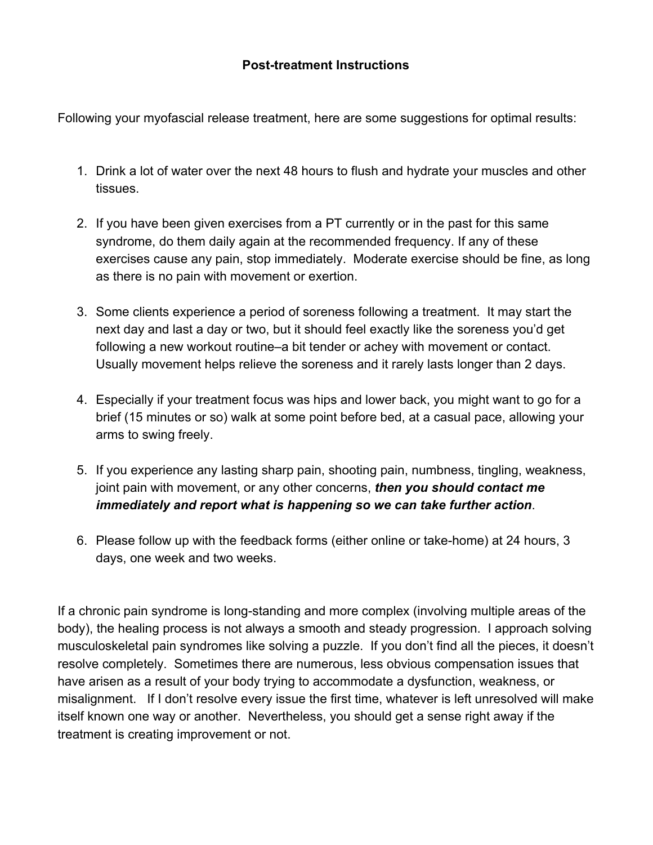## **Post-treatment Instructions**

Following your myofascial release treatment, here are some suggestions for optimal results:

- 1. Drink a lot of water over the next 48 hours to flush and hydrate your muscles and other tissues.
- 2. If you have been given exercises from a PT currently or in the past for this same syndrome, do them daily again at the recommended frequency. If any of these exercises cause any pain, stop immediately. Moderate exercise should be fine, as long as there is no pain with movement or exertion.
- 3. Some clients experience a period of soreness following a treatment. It may start the next day and last a day or two, but it should feel exactly like the soreness you'd get following a new workout routine–a bit tender or achey with movement or contact. Usually movement helps relieve the soreness and it rarely lasts longer than 2 days.
- 4. Especially if your treatment focus was hips and lower back, you might want to go for a brief (15 minutes or so) walk at some point before bed, at a casual pace, allowing your arms to swing freely.
- 5. If you experience any lasting sharp pain, shooting pain, numbness, tingling, weakness, joint pain with movement, or any other concerns, *then you should contact me immediately and report what is happening so we can take further action*.
- 6. Please follow up with the feedback forms (either online or take-home) at 24 hours, 3 days, one week and two weeks.

If a chronic pain syndrome is long-standing and more complex (involving multiple areas of the body), the healing process is not always a smooth and steady progression. I approach solving musculoskeletal pain syndromes like solving a puzzle. If you don't find all the pieces, it doesn't resolve completely. Sometimes there are numerous, less obvious compensation issues that have arisen as a result of your body trying to accommodate a dysfunction, weakness, or misalignment. If I don't resolve every issue the first time, whatever is left unresolved will make itself known one way or another. Nevertheless, you should get a sense right away if the treatment is creating improvement or not.